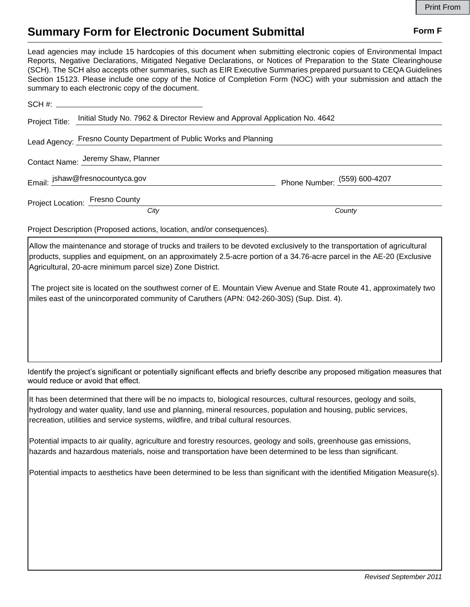## **Summary Form for Electronic Document Submittal Form F Form F**

Lead agencies may include 15 hardcopies of this document when submitting electronic copies of Environmental Impact Reports, Negative Declarations, Mitigated Negative Declarations, or Notices of Preparation to the State Clearinghouse (SCH). The SCH also accepts other summaries, such as EIR Executive Summaries prepared pursuant to CEQA Guidelines Section 15123. Please include one copy of the Notice of Completion Form (NOC) with your submission and attach the summary to each electronic copy of the document.

| Project Title: | Initial Study No. 7962 & Director Review and Approval Application No. 4642 |                              |
|----------------|----------------------------------------------------------------------------|------------------------------|
|                | Lead Agency: Fresno County Department of Public Works and Planning         |                              |
|                | Contact Name: Jeremy Shaw, Planner                                         |                              |
|                | Email: jshaw@fresnocountyca.gov                                            | Phone Number: (559) 600-4207 |
|                | <b>Project Location: Fresno County</b>                                     |                              |
|                | City                                                                       | County                       |
|                |                                                                            |                              |

Project Description (Proposed actions, location, and/or consequences).

Allow the maintenance and storage of trucks and trailers to be devoted exclusively to the transportation of agricultural products, supplies and equipment, on an approximately 2.5-acre portion of a 34.76-acre parcel in the AE-20 (Exclusive Agricultural, 20-acre minimum parcel size) Zone District.

 The project site is located on the southwest corner of E. Mountain View Avenue and State Route 41, approximately two miles east of the unincorporated community of Caruthers (APN: 042-260-30S) (Sup. Dist. 4).

Identify the project's significant or potentially significant effects and briefly describe any proposed mitigation measures that would reduce or avoid that effect.

It has been determined that there will be no impacts to, biological resources, cultural resources, geology and soils, hydrology and water quality, land use and planning, mineral resources, population and housing, public services, recreation, utilities and service systems, wildfire, and tribal cultural resources.

Potential impacts to air quality, agriculture and forestry resources, geology and soils, greenhouse gas emissions, hazards and hazardous materials, noise and transportation have been determined to be less than significant.

Potential impacts to aesthetics have been determined to be less than significant with the identified Mitigation Measure(s).